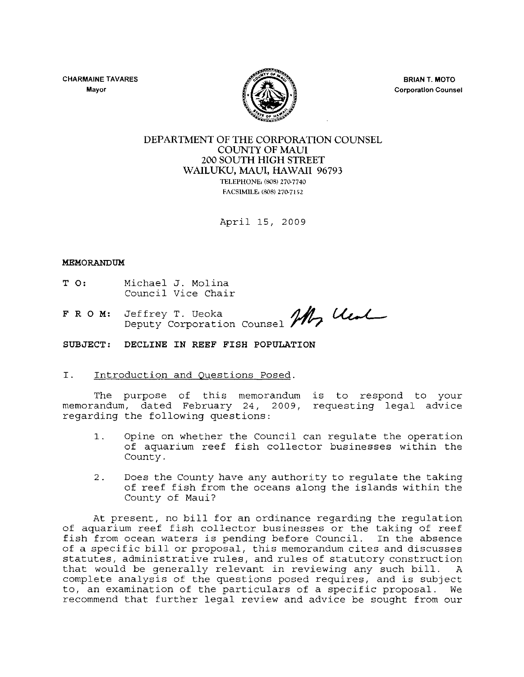CHARMAINE TAVARES **Mayor** 



BRIAN T. MOTO **Corporation Counsel** 

# DEPARTMENT OF THE CORPORATION COUNSEL COUNTY OF MAUl 200 SOUTH HIGH STREET WAILUKU, MAUI, HAWAII 96793 TELEPHONE: (808) 270-7740

FACSIMILE. (808) 270-7152

April 15, 2009

#### MEMORANDUM

- T 0: Michael J. Molina Council Vice Chair
- F R O M: Jeffrey Deputy Corporation J. Molina<br>Vice Chair<br>T. Ueoka<br>orporation Counsel **M, Uest**

SUBJECT: DECLINE IN REEF FISH POPULATION

### I. Introduction and Questions Posed.

The purpose of this memorandum is to respond to your memorandum, dated February 24, 2009, requesting legal advice regarding the following questions:

- 1. Opine on whether the Council can regulate the operation of aquarium reef fish collector businesses within the County.
- 2. Does the County have any authority to regulate the taking of reef fish from the oceans along the islands within the County of Maui?

At present, no bill for an ordinance regarding the regulation of aquarium reef fish collector businesses or the taking of reef fish from ocean waters is pending before Council. In the absence of a specific bill or proposal, this memorandum cites and discusses statutes, administrative rules, and rules of statutory construction that would be generally relevant in reviewing any such bill. A complete analysis of the questions posed requires, and is subject to, an examination of the particulars of a specific proposal. We recommend that further legal review and advice be sought from our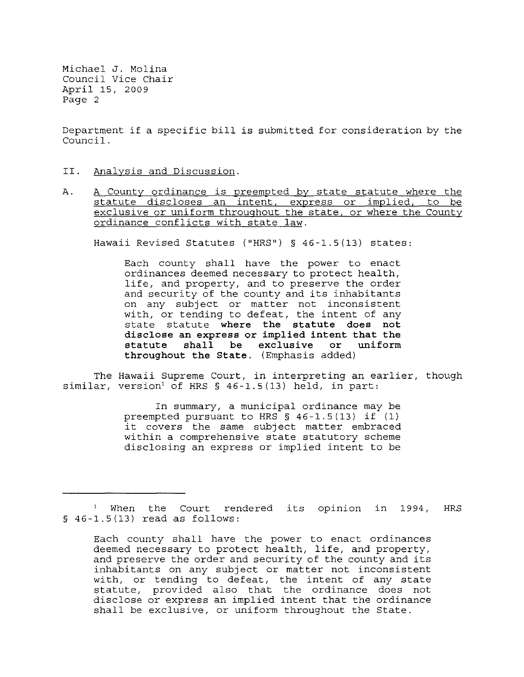Department if a specific bill is submitted for consideration by the Council.

- II. Analysis and Discussion.
- A. A County ordinance is preempted by state statute where the statute discloses an intent, express or implied, to be exclusive or uniform throughout the state, or where the County ordinance conflicts with state law.

Hawaii Revised Statutes ("HRS") § 46-1.5(13) states:

Each county shall have the power to enact ordinances deemed necessary to protect health, life, and property, and to preserve the order and security of the county and its inhabitants on any subject or matter not inconsistent with, or tending to defeat, the intent of any state statute where the statute does not disclose an express or implied intent that the statute shall be exclusive or uniform throughout the State. (Emphasis added)

The Hawaii Supreme Court, in interpreting an earlier, though similar, version' of HRS § 46-1.5(13) held, in part:

> In summary, a municipal ordinance may be preempted pursuant to HRS § 46-1.5(13) if (1) it covers the same subject matter embraced within a comprehensive state statutory scheme disclosing an express or implied intent to be

When the Court rendered its opinion in 1994, HRS § 46-1.5(13) read as follows:

Each county shall have the power to enact ordinances deemed necessary to protect health, life, and property, and preserve the order and security of the county and its inhabitants on any subject or matter not inconsistent inhabitants on any sabject of matter het intentified is statute, provided also that the ordinance does not disclose or express an implied intent that the ordinance shall be exclusive, or uniform throughout the State.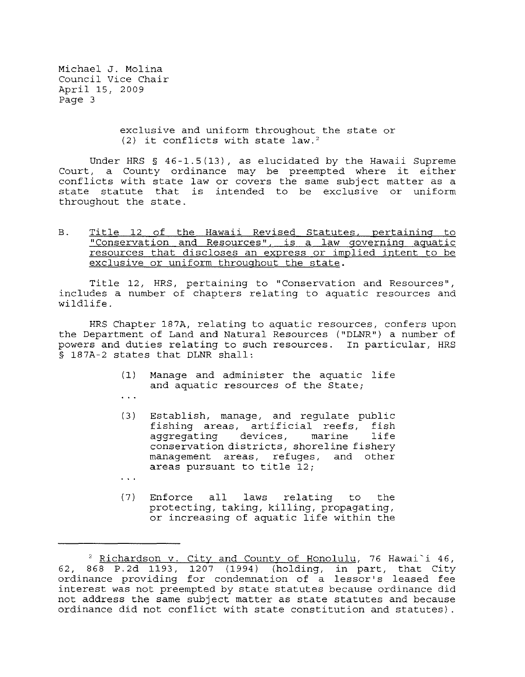> exclusive and uniform throughout the state or  $(2)$  it conflicts with state law.<sup>2</sup>

Under HRS § 46-1.5(13), as elucidated by the Hawaii Supreme Court, a County ordinance may be preempted where it either conflicts with state law or covers the same subject matter as a state statute that is intended to be exclusive or uniform throughout the state.

B. Title 12 of the Hawaii Revised Statutes, pertaining to "Conservation and Resources", is a law governing aquatic resources that discloses an express or implied intent to be exclusive or uniform throughout the state.

Title 12, HRS, pertaining to "Conservation and Resources", includes a number of chapters relating to aquatic resources and wildlife.

HRS Chapter 187A, relating to aquatic resources, confers upon the Department of Land and Natural Resources ("DLNR") a number of powers and duties relating to such resources. In particular, HRS § 187A-2 states that DLNR shall:

- (1) Manage and administer the aquatic life and aquatic resources of the State;
- $\ddotsc$
- (3) Establish, manage, and regulate public fishing areas, artificial reefs, fish aggregating devices, marine conservation districts, shoreline fishery management areas, refuges, and other areas pursuant to title 12;
- $\cdots$
- (7) Enforce all laws relating to the protecting, taking, killing, propagating, or increasing of aquatic life within the

<sup>&</sup>lt;sup>2</sup> Richardson v. City and County of Honolulu, 76 Hawai'i 46, 62, 868 P.2d 1193, 1207 (1994) (holding, in part, that City ordinance providing for condemnation of a lessor's leased fee interest was not preempted by state statutes because ordinance did not address the same subject matter as state statutes and because ordinance did not conflict with state constitution and statutes) .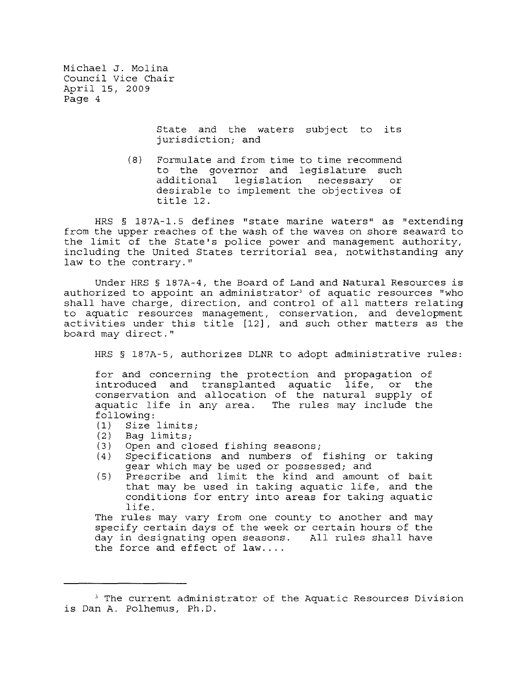> State and the waters subject to its jurisdiction; and

(8) Formulate and from time to time recommend to the governor and legislature such<br>additional legislation necessary or additional legislation necessary desirable to implement the objectives of title 12.

HRS § 187A-l.5 defines "state marine waters" as "extending from the upper reaches of the wash of the waves on shore seaward to the limit of the State's police power and management authority, including the United States territorial sea, notwithstanding any law to the contrary."

Under HRS § 187A-4, the Board of Land and Natural Resources is authorized to appoint an administrator<sup>3</sup> of aquatic resources "who shall have charge, direction, and control of all matters relating to aquatic resources management, conservation, and development activities under this title [12], and such other matters as the board may direct."

HRS § 187A-5, authorizes DLNR to adopt administrative rules:

for and concerning the protection and propagation of introduced and transplanted aquatic life, or the conservation and allocation of the natural supply of aquatic life in any area. The rules may include the following:

- (1) Size limits;
- (2) Bag limits;<br>(3) Open and cl
- Open and closed fishing seasons;
- (4) Specifications and numbers of fishing or taking gear which may be used or possessed; and
- (5) Prescribe and limit the kind and amount of bait that may be used in taking aquatic life, and the conditions for entry into areas for taking aquatic life.

The rules may vary from one county to another and may specify certain days of the week or certain hours of the day in designating open seasons. All rules shall have the force and effect of  $law...$ 

<sup>&</sup>lt;sup>3</sup> The current administrator of the Aquatic Resources Division is Dan A. Polhemus, Ph.D.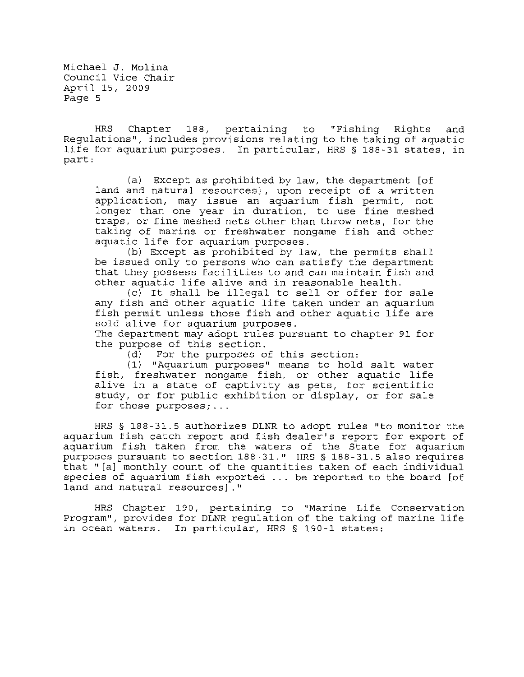HRS Chapter 188, pertaining to "Fishing Rights and Regulations", includes provisions relating to the taking of aquatic life for aquarium purposes. In particular, HRS § 188-31 states, in part:

(a) Except as prohibited by law, the department [of land and natural resources], upon receipt of a written application, may issue an aquarium fish permit, not longer than one year in duration, to use fine meshed traps, or fine meshed nets other than throw nets, for the taking of marine or freshwater nongame fish and other aquatic life for aquarium purposes.

(b) Except as prohibited by law, the permits shall be issued only to persons who can satisfy the department that they possess facilities to and can maintain fish and other aquatic life alive and in reasonable health.

(c) It shall be illegal to sell or offer for sale any fish and other aquatic life taken under an aquarium fish permit unless those fish and other aquatic life are sold alive for aquarium purposes.

The department may adopt rules pursuant to chapter 91 for the purpose of this section.<br>(d) For the purposes o

For the purposes of this section:

(1) "Aquarium purposes" means to hold salt water fish, freshwater nongame fish, or other aquatic life alive in a state of captivity as pets, for scientific study, or for public exhibition or display, or for sale for these purposes; ...

HRS § 188-31.5 authorizes DLNR to adopt rules "to monitor the aquarium fish catch report and fish dealer's report for export of aquarlum fish taken from the waters of the State for aquarium purposes pursuant to section 188-31." HRS § 188-31.5 also requires that "[a] monthly count of the quantities taken of each individual species of aquarium fish exported ... be reported to the board [of land and natural **resources]."** 

HRS Chapter 190, pertaining to "Marine Life Conservation Program", provides for DLNR regulation of the taking of marine life in ocean waters. In particular, HRS § 190-1 states: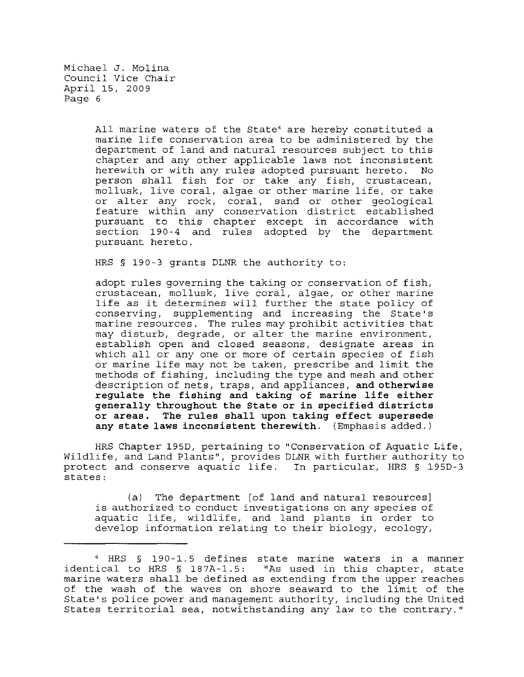> All marine waters of the State' are hereby constituted a marine life conservation area to be administered by the department of land and natural resources subject to this chapter and any other applicable laws not inconsistent herewith or with any rules adopted pursuant hereto. person shall fish for or take any fish, crustacean, mollusk, live coral, algae or other marine life, or take or alter any rock, coral, sand or other geological feature within any conservation district established pursuant to this chapter except in accordance with section 190-4 and rules adopted by the department pursuant hereto.

HRS § 190-3 grants DLNR the authority to:

adopt rules governing the taking or conservation of fish, crustacean, mollusk, live coral, algae, or other marine life as it determines will further the state policy of conserving, supplementing and increasing the State's marine resources. The rules may prohibit activities that may disturb, degrade, or alter the marine environment, establish open and closed seasons, designate areas in which all or any one or more of certain species of fish or marine life may not be taken, prescribe and limit the methods of fishing, including the type and mesh and other description of nets, traps, and appliances, **and otherwise regulate the fishing and taking of marine life either generally throughout the State or in specified districts or areas. The rules shall upon taking effect supersede any state laws inconsistent therewith.** (Emphasis added.)

HRS Chapter 195D, pertaining to "Conservation of Aquatic Life, Wildlife, and Land Plants", provides DLNR with further authority to protect and conserve aquatic life. In particular, HRS § 195D-J states:

(a) The department [of land and natural resources] is authorized to conduct investigations on any species of aquatic life, wildlife, and land plants in order to develop information relating to their biology, ecology,

<sup>,</sup> HRS § 190-1. 5 defines state marine waters in a manner identical to HRS § 187A-1. 5: "As used in this chapter, state marine waters shall be defined as extending from the upper reaches **of** the wash of the waves on shore seaward to the limit of the State's police power and management authority, including the United States territorial sea, notwithstanding any law to the contrary."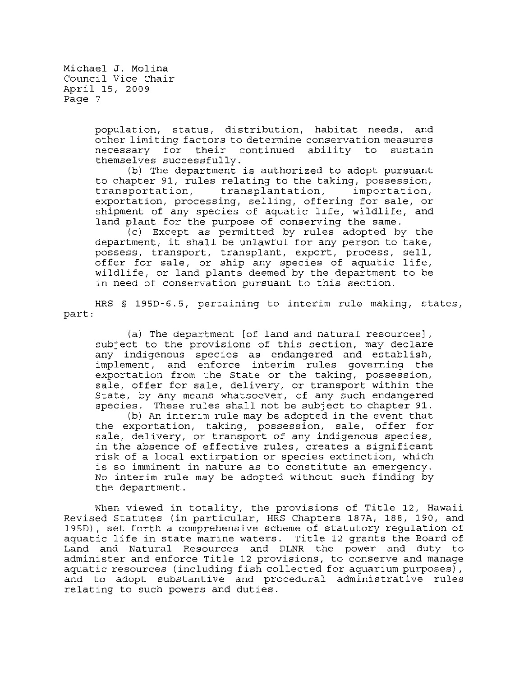> population, status, distribution, habitat needs, and other limiting factors to determine conservation measures necessary for their continued ability to themselves successfully.

> (b) The department is authorized to adopt pursuant to chapter 91, rules relating to the taking, possession, transplantation, exportation, processing, selling, offering for sale, or shipment of any species of aquatic life, wildlife, and land plant for the purpose of conserving the same.

> (c) Except as permitted by rules adopted by the department, it shall be unlawful for any person to take, possess, transport, transplant, export, process, sell, offer for sale, or ship any species of aquatic life, wildlife, or land plants deemed by the department to be in need of conservation pursuant to this section.

part: HRS § 195D-6.5, pertaining to interim rule making, states,

(a) The department [of land and natural resources] , subject to the provisions of this section, may declare any indigenous species as endangered and establish, implement, and enforce interim rules governing the exportation from the State or the taking, possession, sale, offer for sale, delivery, or transport within the State, by any means whatsoever, of any such endangered species. These rules shall not be subject to chapter 91.

(b) An interim rule may be adopted in the event that the exportation, taking, possession, sale, offer for sale, delivery, or transport of any indigenous species, in the absence of effective rules, creates a significant risk of a local extirpation or species extinction, which is so imminent in nature as to constitute an emergency. No interim rule may be adopted without such finding by the department.

When viewed in totality, the provisions of Title 12, Hawaii Revised Statutes (in particular, HRS Chapters 187A, 188, 190, and 195D), set forth a comprehensive scheme of statutory regulation of aquatic life in state marine waters. Title 12 grants the Board of Land and Natural Resources and DLNR the power and duty to administer and enforce Title 12 provisions, to conserve and manage aquatic resources (including fish collected for aquarium purposes) , and to adopt substantive and procedural administrative rules relating to such powers and duties.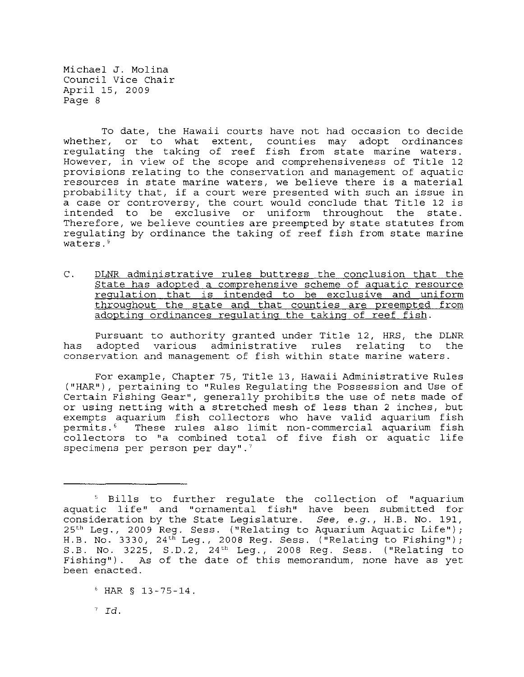To date, the Hawaii courts have not had occasion to decide whether, or to what extent, counties may adopt ordinances regulating the taking of reef fish from state marine waters. However, in view of the scope and comprehensiveness of Title 12 provisions relating to the conservation and management of aquatic resources in state marine waters, we believe there is a material probability that, if a court were presented with such an issue in a case or controversy, the court would conclude that Title 12 is intended to be exclusive or uniform throughout the state. Therefore, we believe counties are preempted by state statutes from regulating by ordinance the taking of reef fish from state marine waters.<sup>5</sup>

C. DLNR administrative rules buttress the conclusion that the State has adopted a comprehensive scheme of aquatic resource regulation that is intended to be exclusive and uniform throughout the state and that counties are preempted from adopting ordinances regulating the taking of reef fish.

Pursuant to authority granted under Title 12, HRS, the DLNR has adopted various administrative rules relating to the conservation and management of fish within state marine waters.

For example, Chapter 75, Title 13, Hawaii Administrative Rules ("HAR") , pertaining to "Rules Regulating the Possession and Use of Certain Fishing Gear", generally prohibits the use of nets made of or using netting with a stretched mesh of less than 2 inches, but exempts aquarium fish collectors who have valid aquarium fish<br>permits.<sup>6</sup> These rules also limit non-commercial aquarium fish These rules also limit non-commercial aquarium fish collectors to "a combined total of five fish or aquatic life specimens per person per day". $7$ 

<sup>5</sup> Bills to further regulate the collection of "aquarium aquatic life" and "ornamental fish" have been submitted for consideration by the State Legislature. *See, e.g.,* H.B. No. 191, 25 th Leg., 2009 Reg. Sess. ("Relating to Aquarium Aquatic Life"); H.B. No. 3330, 24th Leg., 2008 Reg. Sess. ("Relating to Fishing"); S.B. No. 3225, S.D.2, 24th Leg., 2008 Reg. Sess. ("Relating to Fishing"). As of the date of this memorandum, none have as yet been enacted.

<sup>6</sup> HAR § 13-75-14.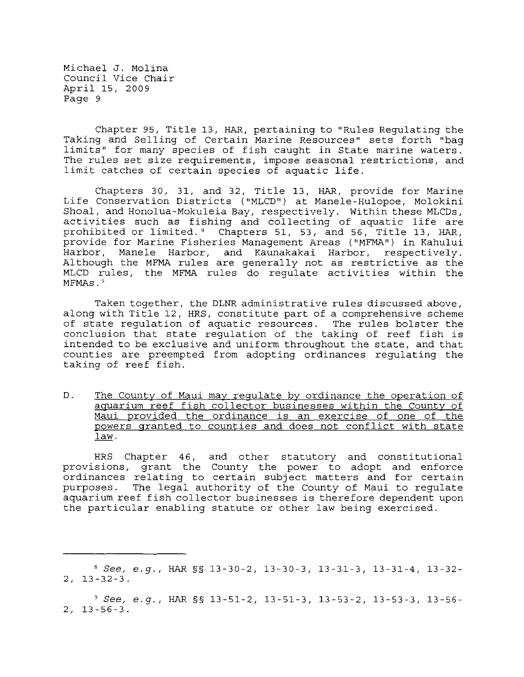Chapter 95, Title 13, HAR, pertaining to "Rules Regulating the Taking and Selling of Certain Marine Resources" sets forth "bag limits" for many species of fish caught in State marine waters. The rules set size requirements, impose seasonal restrictions, and limit catches of certain species of aquatic life.

Chapters 30, 31, and 32, Title 13, HAR, provide for Marine Life Conservation Districts ("MLCD") at Manele-Hulopoe, Molokini Shoal, and Honolua-Mokuleia Bay, respectively. Within these MLCDs, activities such as fishing and collecting of aquatic life are prohibited or limited. 8 Chapters 51, 53, and 56, Title 13, HAR, provide for Marine Fisheries Management Areas ("MFMA") in Kahului Harbor, Manele Harbor, and Kaunakakai Harbor, respectively. Although the MFMA rules are generally not as restrictive as the MLCD rules, the MFMA rules do regulate activities within the MFMAs.<sup>9</sup>

Taken together, the DLNR administrative rules discussed above, along with Title 12, HRS, constitute part of a comprehensive scheme of state regulation of aquatic resources. The rules bolster the conclusion that state regulation of the taking of reef fish is intended to be exclusive and uniform throughout the state, and that counties are preempted from adopting ordinances regulating the taking of reef fish.

D. The County of Maui may regulate by ordinance the operation of aquarium reef fish collector businesses within the County of Maui provided the ordinance is an exercise of one of the powers granted to counties and does not conflict with state law.

HRS Chapter 46, and other statutory and constitutional provisions, grant the County the power to adopt and enforce ordinances relating to certain subject matters and for certain purposes. The legal authority of the County of Maui to regulate aquarium reef fish collector businesses is therefore dependent upon the particular enabling statute or other law being exercised.

<sup>8</sup>*See, e.g.,* HAR §§ 13-30-2, 13-30-3, 13-31-3, 13-31-4, 13-32- 2, 13-32-3.

*<sup>9</sup> See, e.g.,* HAR §§ 13-51-2, 13-51-3, 13-53-2, 13-53-3, 13-56- 2, 13-56-3.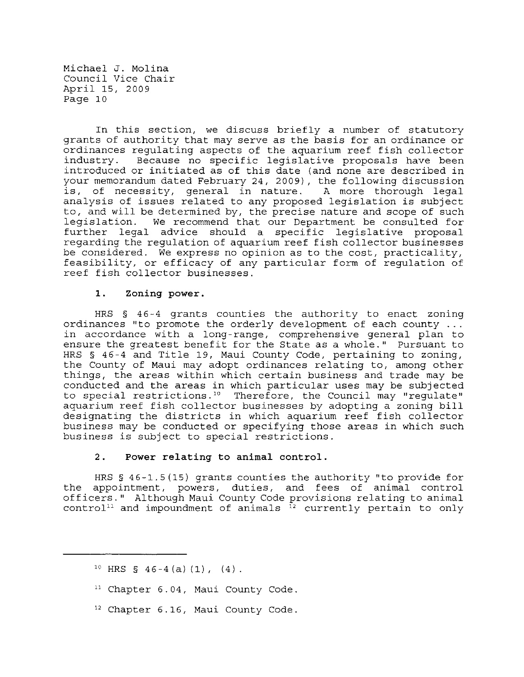In this section, we discuss briefly a number of statutory grants of authority that may serve as the basis for an ordinance or ordinances regulating aspects of the aquarium reef fish collector Because no specific legislative proposals have been introduced or initiated as of this date (and none are described in your memorandum dated February 24, 2009), the following discussion is, of necessity, general in nature. A more thorough legal analysis of issues related to any proposed legislation is subject to, and will be determined by, the precise nature and scope of such legislation. We recommend that our Department be consulted for further legal advice should a specific legislative proposal regarding the regulation of aquarium reef fish collector businesses be considered. We express no opinion as to the cost, practicality, feasibility, or efficacy of any particular form of regulation of reef fish collector businesses.

#### **1. Zoning power.**

HRS § 46-4 grants counties the authority to enact zoning ordinances "to promote the orderly development of each **county ...**  in accordance with a long-range, comprehensive general plan to ensure the greatest benefit for the State as a whole." Pursuant to HRS § 46-4 and Title 19, Maui County Code, pertaining to zoning, the County of Maui may adopt ordinances relating to, among other things, the areas within which certain business and trade may be conducted and the areas in which particular uses may be subjected to special restrictions .'0 Therefore, the Council may "regulate" aquarium reef fish collector businesses by adopting a zoning bill designating the districts in which aquarium reef fish collector business may be conducted or specifying those areas in which such business is subject to special restrictions.

# **2. Power relating to animal control.**

HRS § 46-1.5 (15) grants counties the authority "to provide for the appointment, powers, duties, and fees of animal control officers." Although Maui County Code provisions relating to animal control<sup>11</sup> and impoundment of animals  $\frac{1}{12}$  currently pertain to only

- <sup>11</sup>**Chapter 6.04, Maui County Code.**
- **12 Chapter 6.16/ Maui County Code.**

 $10$  HRS § 46-4(a)(1), (4).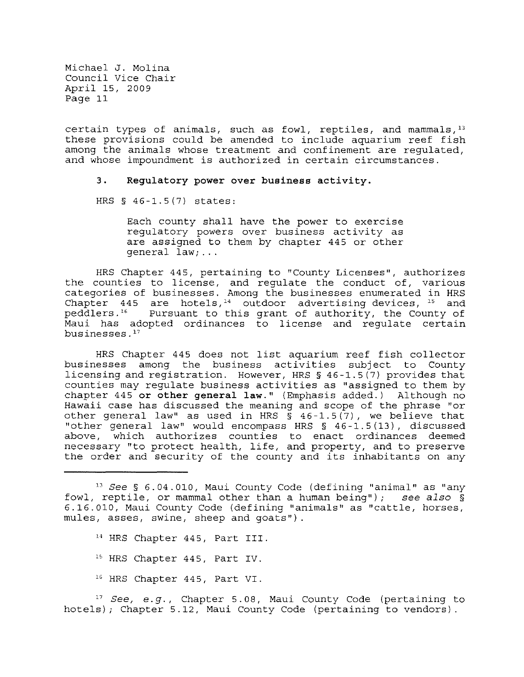certain types of animals, such as fowl, reptiles, and mammals,  $13$ these provisions could be amended to include aquarium reef fish among the animals whose treatment and confinement are regulated, and whose impoundment is authorized in certain circumstances.

## **3. Regulatory power over business activity.**

HRS § 46-1.5(7) states:

Each county shall have the power to exercise regulatory powers over business activity as are assigned to them by chapter 445 or other general law; ...

HRS Chapter 445, pertaining to "County Licenses", authorizes the counties to license, and regulate the conduct of, various categories of businesses. Among the businesses enumerated in HRS Chapter  $445$  are hotels, <sup>14</sup> outdoor advertising devices, <sup>15</sup> and peddlers.<sup>16</sup> Pursuant to this grant of authority, the County of Maui has adopted ordinances to license and regulate certain businesses. $17$ 

HRS Chapter 445 does not list aquarium reef fish collector businesses among the business activities subject to County licensing and registration. However, HRS § 46-1.5(7) provides that counties may regulate business activities as "assigned to them by chapter 445 **or other general law."** (Emphasis added.) Although no Hawaii case has discussed the meaning and scope of the phrase "or other general law" as used in HRS  $\bar{S}$  46-1.5(7), we believe that "other general law" would encompass HRS § 46-1.5(13), discussed above, which authorizes counties to enact ordinances deemed necessary "to protect health, life, and property, and to preserve the order and security of the county and its inhabitants on any

- 14 HRS Chapter 445, Part III.
- <sup>15</sup> HRS Chapter 445, Part IV.
- 16 HRS Chapter 445, Part VI.

<sup>17</sup> See, e.g., Chapter 5.08, Maui County Code (pertaining to hotels) ; Chapter 5.12, Maui County Code (pertaining to vendors) .

<sup>13</sup>*See* § 6.04.010, Maui County Code (defining "animal" as "any fowl, reptile, or mammal other than a human being") ; see *also* § 6.16.010, Maui County Code (defining "animals" as "cattle, horses, mules, asses, swine, sheep and goats")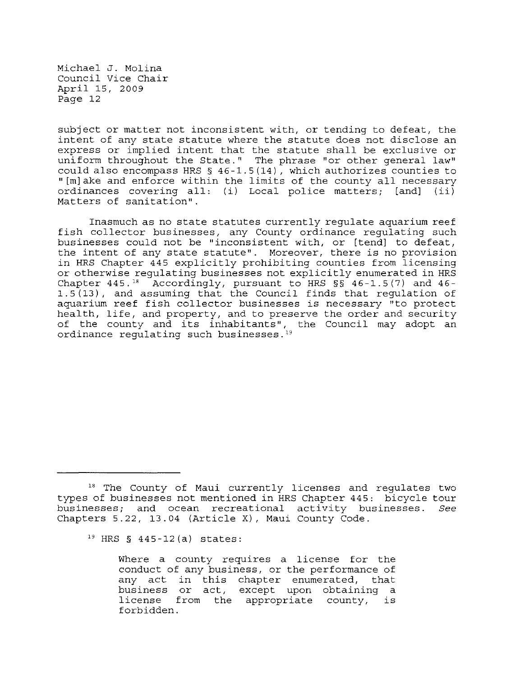subject or matter not inconsistent with, or tending to defeat, the intent of any state statute where the statute does not disclose an express or implied intent that the statute shall be exclusive or uniform throughout the State." The phrase "or other general law" could also encompass HRS  $\S$  46-1.5(14), which authorizes counties to "[m]ake and enforce within the limits of the county all necessary ordinances covering all: (i) Local police matters; [and] (ii) Matters of sanitation".

Inasmuch as no state statutes currently regulate aquarium reef fish collector businesses, any County ordinance regulating such businesses could not be "inconsistent with, or [tend] to defeat, the intent of any state statute". Moreover, there is no provision in HRS Chapter 445 explicitly prohibiting counties from licensing or otherwise regulating businesses not explicitly enumerated in HRS Chapter  $445.$ <sup>18</sup> Accordingly, pursuant to HRS §§  $46-1.5(7)$  and  $46-$ 1.5(13), and assuming that the Council finds that regulation of aquarium reef fish collector businesses is necessary "to protect health, life, and property, and to preserve the order and security of the county and its inhabitants", the Council may adopt an ordinance regulating such businesses.<sup>19</sup>

Where a county requires a license for the conduct of any business, or the performance of any act in this chapter enumerated, that business or act, except upon obtaining a Editions of act, except apon extaining a<br>license from the appropriate county, is forbidden.

<sup>&</sup>lt;sup>18</sup> The County of Maui currently licenses and regulates two types of businesses not mentioned in HRS Chapter 445: bicycle tour businesses; and ocean recreational activity businesses. *See*  Chapters 5.22, 13.04 (Article X), Maui county Code.

 $19$  HRS § 445-12(a) states: